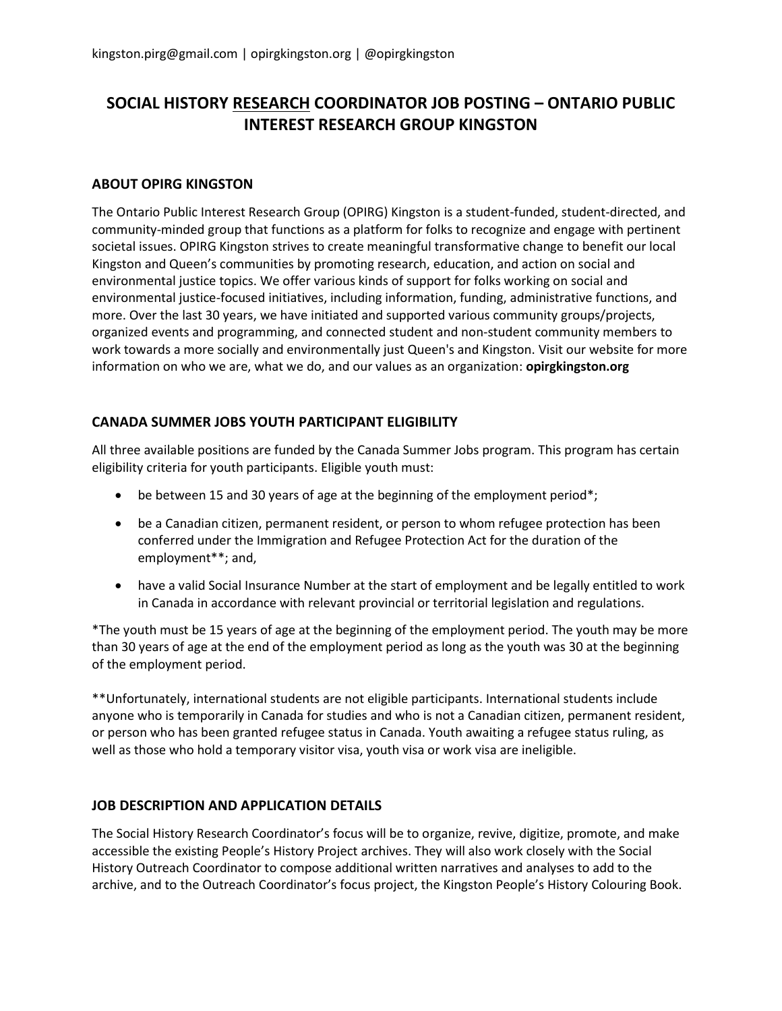## **SOCIAL HISTORY RESEARCH COORDINATOR JOB POSTING – ONTARIO PUBLIC INTEREST RESEARCH GROUP KINGSTON**

## **ABOUT OPIRG KINGSTON**

The Ontario Public Interest Research Group (OPIRG) Kingston is a student-funded, student-directed, and community-minded group that functions as a platform for folks to recognize and engage with pertinent societal issues. OPIRG Kingston strives to create meaningful transformative change to benefit our local Kingston and Queen's communities by promoting research, education, and action on social and environmental justice topics. We offer various kinds of support for folks working on social and environmental justice-focused initiatives, including information, funding, administrative functions, and more. Over the last 30 years, we have initiated and supported various community groups/projects, organized events and programming, and connected student and non-student community members to work towards a more socially and environmentally just Queen's and Kingston. Visit our website for more information on who we are, what we do, and our values as an organization: **opirgkingston.org**

## **CANADA SUMMER JOBS YOUTH PARTICIPANT ELIGIBILITY**

All three available positions are funded by the Canada Summer Jobs program. This program has certain eligibility criteria for youth participants. Eligible youth must:

- be between 15 and 30 years of age at the beginning of the employment period\*;
- be a Canadian citizen, permanent resident, or person to whom refugee protection has been conferred under the Immigration and Refugee Protection Act for the duration of the employment\*\*; and,
- have a valid Social Insurance Number at the start of employment and be legally entitled to work in Canada in accordance with relevant provincial or territorial legislation and regulations.

\*The youth must be 15 years of age at the beginning of the employment period. The youth may be more than 30 years of age at the end of the employment period as long as the youth was 30 at the beginning of the employment period.

\*\*Unfortunately, international students are not eligible participants. International students include anyone who is temporarily in Canada for studies and who is not a Canadian citizen, permanent resident, or person who has been granted refugee status in Canada. Youth awaiting a refugee status ruling, as well as those who hold a temporary visitor visa, youth visa or work visa are ineligible.

## **JOB DESCRIPTION AND APPLICATION DETAILS**

The Social History Research Coordinator's focus will be to organize, revive, digitize, promote, and make accessible the existing People's History Project archives. They will also work closely with the Social History Outreach Coordinator to compose additional written narratives and analyses to add to the archive, and to the Outreach Coordinator's focus project, the Kingston People's History Colouring Book.